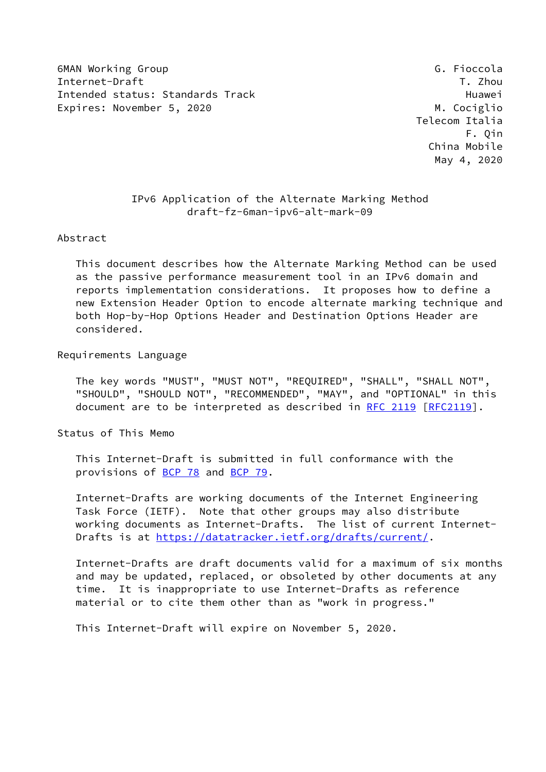6MAN Working Group Group G. Fioccola Internet-Draft T. Zhou Intended status: Standards Track Track Huawei Expires: November 5, 2020 M. Cociglio

 Telecom Italia F. Qin China Mobile May 4, 2020

# IPv6 Application of the Alternate Marking Method draft-fz-6man-ipv6-alt-mark-09

#### Abstract

 This document describes how the Alternate Marking Method can be used as the passive performance measurement tool in an IPv6 domain and reports implementation considerations. It proposes how to define a new Extension Header Option to encode alternate marking technique and both Hop-by-Hop Options Header and Destination Options Header are considered.

#### Requirements Language

 The key words "MUST", "MUST NOT", "REQUIRED", "SHALL", "SHALL NOT", "SHOULD", "SHOULD NOT", "RECOMMENDED", "MAY", and "OPTIONAL" in this document are to be interpreted as described in [RFC 2119 \[RFC2119](https://datatracker.ietf.org/doc/pdf/rfc2119)].

Status of This Memo

 This Internet-Draft is submitted in full conformance with the provisions of [BCP 78](https://datatracker.ietf.org/doc/pdf/bcp78) and [BCP 79](https://datatracker.ietf.org/doc/pdf/bcp79).

 Internet-Drafts are working documents of the Internet Engineering Task Force (IETF). Note that other groups may also distribute working documents as Internet-Drafts. The list of current Internet- Drafts is at<https://datatracker.ietf.org/drafts/current/>.

 Internet-Drafts are draft documents valid for a maximum of six months and may be updated, replaced, or obsoleted by other documents at any time. It is inappropriate to use Internet-Drafts as reference material or to cite them other than as "work in progress."

This Internet-Draft will expire on November 5, 2020.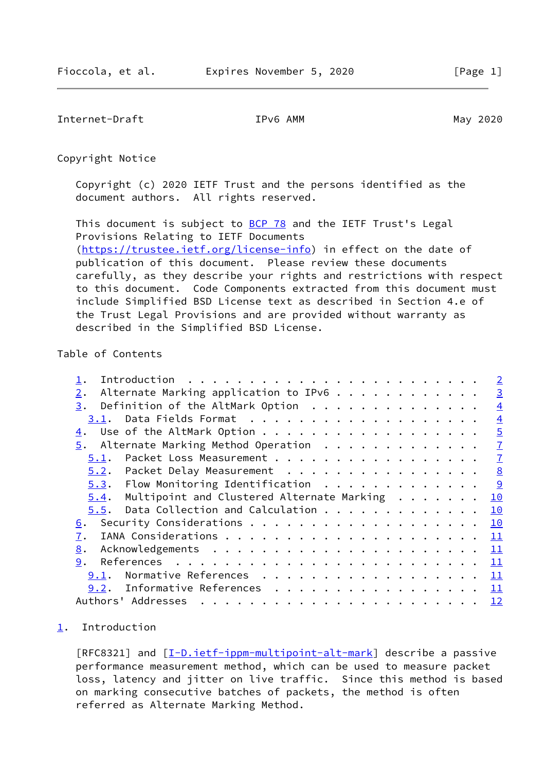<span id="page-1-1"></span>Internet-Draft TPv6 AMM IPv6 AMM May 2020

Copyright Notice

 Copyright (c) 2020 IETF Trust and the persons identified as the document authors. All rights reserved.

This document is subject to **[BCP 78](https://datatracker.ietf.org/doc/pdf/bcp78)** and the IETF Trust's Legal Provisions Relating to IETF Documents [\(https://trustee.ietf.org/license-info](https://trustee.ietf.org/license-info)) in effect on the date of publication of this document. Please review these documents carefully, as they describe your rights and restrictions with respect to this document. Code Components extracted from this document must include Simplified BSD License text as described in Section 4.e of the Trust Legal Provisions and are provided without warranty as described in the Simplified BSD License.

## Table of Contents

| Introduction $\cdots$ , $\cdots$ , $\cdots$ , $\cdots$ , $\cdots$ , $\cdots$ , $\cdots$ , $\cdots$ , $\cdots$ , $\cdots$ , $\cdots$ , $\cdots$ , $\cdots$ , $\cdots$ , $\cdots$ , $\cdots$ , $\cdots$ , $\cdots$ , $\cdots$ , $\cdots$ , $\cdots$ , $\cdots$ , $\cdots$ , $\cdots$ , $\cdots$ , $\cdots$ , $\cdots$ , $\cdots$ , $\cdots$ , $\cdots$ | $\overline{2}$            |
|------------------------------------------------------------------------------------------------------------------------------------------------------------------------------------------------------------------------------------------------------------------------------------------------------------------------------------------------------|---------------------------|
| Alternate Marking application to IPv6<br>2.                                                                                                                                                                                                                                                                                                          | $\overline{3}$            |
| Definition of the AltMark Option<br>3.                                                                                                                                                                                                                                                                                                               | $\overline{4}$            |
| 3.1.                                                                                                                                                                                                                                                                                                                                                 | $\overline{4}$            |
| Use of the AltMark Option<br>4.                                                                                                                                                                                                                                                                                                                      | $\overline{5}$            |
| $5.$ Alternate Marking Method Operation                                                                                                                                                                                                                                                                                                              | $\overline{1}$            |
| Packet Loss Measurement<br>5.1.                                                                                                                                                                                                                                                                                                                      | $\overline{1}$            |
| 5.2. Packet Delay Measurement                                                                                                                                                                                                                                                                                                                        | 8                         |
| $5.3.$ Flow Monitoring Identification                                                                                                                                                                                                                                                                                                                |                           |
| Multipoint and Clustered Alternate Marking<br>5.4.                                                                                                                                                                                                                                                                                                   | 10                        |
| Data Collection and Calculation<br>5.5.                                                                                                                                                                                                                                                                                                              | 10                        |
| 6.                                                                                                                                                                                                                                                                                                                                                   | 10                        |
| 7.                                                                                                                                                                                                                                                                                                                                                   | 11                        |
| 8.                                                                                                                                                                                                                                                                                                                                                   | 11                        |
| 9.                                                                                                                                                                                                                                                                                                                                                   | 11                        |
| Normative References<br>9.1.                                                                                                                                                                                                                                                                                                                         | $\mathbf{\underline{11}}$ |
| 9.2. Informative References                                                                                                                                                                                                                                                                                                                          | 11                        |
| Authors' Addresses                                                                                                                                                                                                                                                                                                                                   | 12                        |
|                                                                                                                                                                                                                                                                                                                                                      |                           |

## <span id="page-1-0"></span>[1](#page-1-0). Introduction

[RFC8321] and [[I-D.ietf-ippm-multipoint-alt-mark\]](#page-12-2) describe a passive performance measurement method, which can be used to measure packet loss, latency and jitter on live traffic. Since this method is based on marking consecutive batches of packets, the method is often referred as Alternate Marking Method.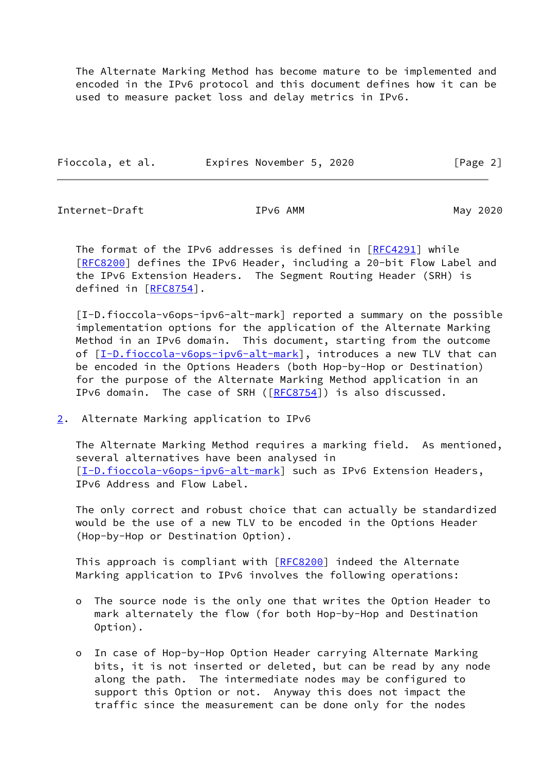The Alternate Marking Method has become mature to be implemented and encoded in the IPv6 protocol and this document defines how it can be used to measure packet loss and delay metrics in IPv6.

| Fioccola, et al. | Expires November 5, 2020 |  | [Page 2] |
|------------------|--------------------------|--|----------|
|                  |                          |  |          |

<span id="page-2-1"></span>Internet-Draft IPv6 AMM May 2020

 The format of the IPv6 addresses is defined in [\[RFC4291](https://datatracker.ietf.org/doc/pdf/rfc4291)] while [\[RFC8200](https://datatracker.ietf.org/doc/pdf/rfc8200)] defines the IPv6 Header, including a 20-bit Flow Label and the IPv6 Extension Headers. The Segment Routing Header (SRH) is defined in [[RFC8754\]](https://datatracker.ietf.org/doc/pdf/rfc8754).

<span id="page-2-2"></span> [I-D.fioccola-v6ops-ipv6-alt-mark] reported a summary on the possible implementation options for the application of the Alternate Marking Method in an IPv6 domain. This document, starting from the outcome of  $[I-D.fioccola-v6ops-ipv6-alt-mark]$  $[I-D.fioccola-v6ops-ipv6-alt-mark]$ , introduces a new TLV that can be encoded in the Options Headers (both Hop-by-Hop or Destination) for the purpose of the Alternate Marking Method application in an IPv6 domain. The case of SRH ([\[RFC8754](https://datatracker.ietf.org/doc/pdf/rfc8754)]) is also discussed.

<span id="page-2-0"></span>[2](#page-2-0). Alternate Marking application to IPv6

 The Alternate Marking Method requires a marking field. As mentioned, several alternatives have been analysed in [\[I-D.fioccola-v6ops-ipv6-alt-mark](#page-2-2)] such as IPv6 Extension Headers, IPv6 Address and Flow Label.

 The only correct and robust choice that can actually be standardized would be the use of a new TLV to be encoded in the Options Header (Hop-by-Hop or Destination Option).

This approach is compliant with [\[RFC8200](https://datatracker.ietf.org/doc/pdf/rfc8200)] indeed the Alternate Marking application to IPv6 involves the following operations:

- o The source node is the only one that writes the Option Header to mark alternately the flow (for both Hop-by-Hop and Destination Option).
- o In case of Hop-by-Hop Option Header carrying Alternate Marking bits, it is not inserted or deleted, but can be read by any node along the path. The intermediate nodes may be configured to support this Option or not. Anyway this does not impact the traffic since the measurement can be done only for the nodes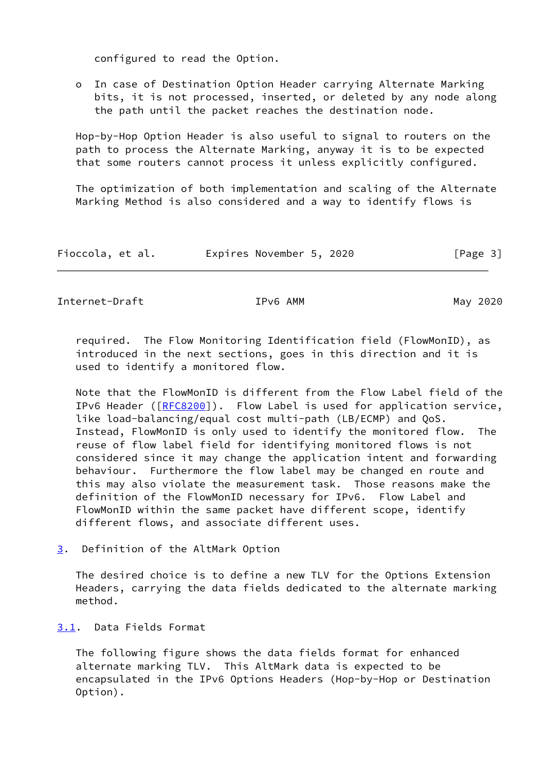configured to read the Option.

 o In case of Destination Option Header carrying Alternate Marking bits, it is not processed, inserted, or deleted by any node along the path until the packet reaches the destination node.

 Hop-by-Hop Option Header is also useful to signal to routers on the path to process the Alternate Marking, anyway it is to be expected that some routers cannot process it unless explicitly configured.

 The optimization of both implementation and scaling of the Alternate Marking Method is also considered and a way to identify flows is

| Fioccola, et al. | Expires November 5, 2020 |  | [Page 3] |
|------------------|--------------------------|--|----------|
|------------------|--------------------------|--|----------|

<span id="page-3-1"></span>Internet-Draft **IPv6 AMM** IPv6 AMM

 required. The Flow Monitoring Identification field (FlowMonID), as introduced in the next sections, goes in this direction and it is used to identify a monitored flow.

 Note that the FlowMonID is different from the Flow Label field of the IPv6 Header ([\[RFC8200](https://datatracker.ietf.org/doc/pdf/rfc8200)]). Flow Label is used for application service, like load-balancing/equal cost multi-path (LB/ECMP) and QoS. Instead, FlowMonID is only used to identify the monitored flow. The reuse of flow label field for identifying monitored flows is not considered since it may change the application intent and forwarding behaviour. Furthermore the flow label may be changed en route and this may also violate the measurement task. Those reasons make the definition of the FlowMonID necessary for IPv6. Flow Label and FlowMonID within the same packet have different scope, identify different flows, and associate different uses.

<span id="page-3-0"></span>[3](#page-3-0). Definition of the AltMark Option

 The desired choice is to define a new TLV for the Options Extension Headers, carrying the data fields dedicated to the alternate marking method.

<span id="page-3-2"></span>[3.1](#page-3-2). Data Fields Format

 The following figure shows the data fields format for enhanced alternate marking TLV. This AltMark data is expected to be encapsulated in the IPv6 Options Headers (Hop-by-Hop or Destination Option).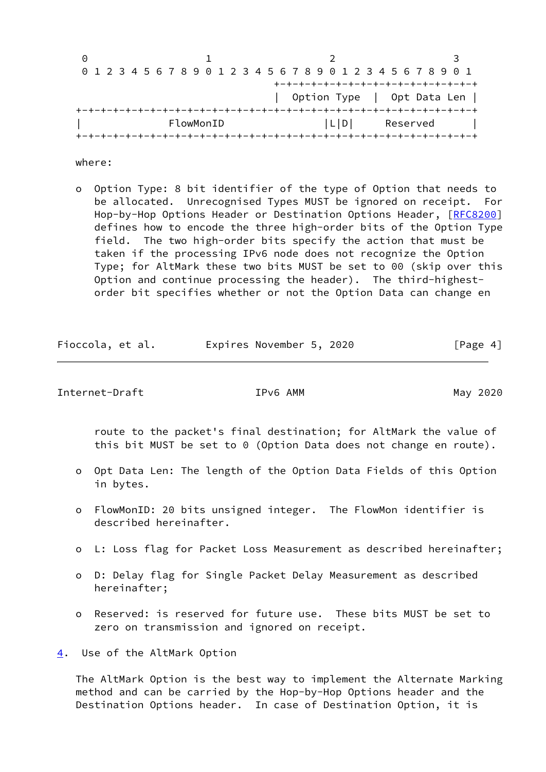| $\left(\cdot\right)$ |  |  |  |  |           |  |  |  |  |  |     |  |  |  |                                                                 |  |                                     |
|----------------------|--|--|--|--|-----------|--|--|--|--|--|-----|--|--|--|-----------------------------------------------------------------|--|-------------------------------------|
|                      |  |  |  |  |           |  |  |  |  |  |     |  |  |  | 0 1 2 3 4 5 6 7 8 9 0 1 2 3 4 5 6 7 8 9 0 1 2 3 4 5 6 7 8 9 0 1 |  |                                     |
|                      |  |  |  |  |           |  |  |  |  |  |     |  |  |  |                                                                 |  | +-+-+-+-+-+-+-+-+-+-+-+-+-+-+-+-+-+ |
|                      |  |  |  |  |           |  |  |  |  |  |     |  |  |  |                                                                 |  | Option Type   Opt Data Len          |
|                      |  |  |  |  |           |  |  |  |  |  |     |  |  |  |                                                                 |  |                                     |
|                      |  |  |  |  | FlowMonID |  |  |  |  |  | L D |  |  |  | Reserved                                                        |  |                                     |
|                      |  |  |  |  |           |  |  |  |  |  |     |  |  |  | --+-+-+-+-+-+-+-+-+-+-+-+-+-+-+-+-+-+-+                         |  |                                     |

where:

 o Option Type: 8 bit identifier of the type of Option that needs to be allocated. Unrecognised Types MUST be ignored on receipt. For Hop-by-Hop Options Header or Destination Options Header, [\[RFC8200](https://datatracker.ietf.org/doc/pdf/rfc8200)] defines how to encode the three high-order bits of the Option Type field. The two high-order bits specify the action that must be taken if the processing IPv6 node does not recognize the Option Type; for AltMark these two bits MUST be set to 00 (skip over this Option and continue processing the header). The third-highest order bit specifies whether or not the Option Data can change en

| Fioccola, et al. | Expires November 5, 2020 | [Page 4] |
|------------------|--------------------------|----------|
|                  |                          |          |

<span id="page-4-1"></span>Internet-Draft TPv6 AMM IPv6 AMM May 2020

 route to the packet's final destination; for AltMark the value of this bit MUST be set to 0 (Option Data does not change en route).

- o Opt Data Len: The length of the Option Data Fields of this Option in bytes.
- o FlowMonID: 20 bits unsigned integer. The FlowMon identifier is described hereinafter.
- o L: Loss flag for Packet Loss Measurement as described hereinafter;
- o D: Delay flag for Single Packet Delay Measurement as described hereinafter;
- o Reserved: is reserved for future use. These bits MUST be set to zero on transmission and ignored on receipt.

<span id="page-4-0"></span>[4](#page-4-0). Use of the AltMark Option

 The AltMark Option is the best way to implement the Alternate Marking method and can be carried by the Hop-by-Hop Options header and the Destination Options header. In case of Destination Option, it is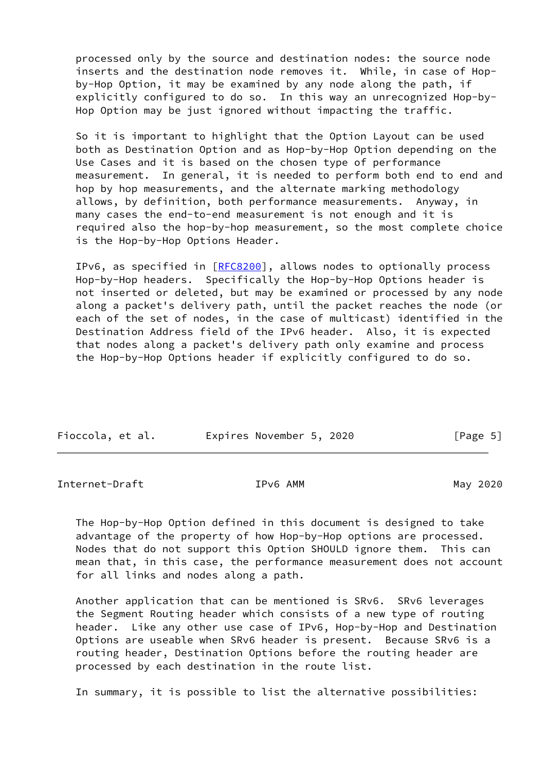processed only by the source and destination nodes: the source node inserts and the destination node removes it. While, in case of Hop by-Hop Option, it may be examined by any node along the path, if explicitly configured to do so. In this way an unrecognized Hop-by- Hop Option may be just ignored without impacting the traffic.

 So it is important to highlight that the Option Layout can be used both as Destination Option and as Hop-by-Hop Option depending on the Use Cases and it is based on the chosen type of performance measurement. In general, it is needed to perform both end to end and hop by hop measurements, and the alternate marking methodology allows, by definition, both performance measurements. Anyway, in many cases the end-to-end measurement is not enough and it is required also the hop-by-hop measurement, so the most complete choice is the Hop-by-Hop Options Header.

 IPv6, as specified in [[RFC8200](https://datatracker.ietf.org/doc/pdf/rfc8200)], allows nodes to optionally process Hop-by-Hop headers. Specifically the Hop-by-Hop Options header is not inserted or deleted, but may be examined or processed by any node along a packet's delivery path, until the packet reaches the node (or each of the set of nodes, in the case of multicast) identified in the Destination Address field of the IPv6 header. Also, it is expected that nodes along a packet's delivery path only examine and process the Hop-by-Hop Options header if explicitly configured to do so.

| Fioccola, et al. | Expires November 5, 2020 | [Page 5] |
|------------------|--------------------------|----------|

Internet-Draft **IPv6 AMM** IPv6 AMM

 The Hop-by-Hop Option defined in this document is designed to take advantage of the property of how Hop-by-Hop options are processed. Nodes that do not support this Option SHOULD ignore them. This can mean that, in this case, the performance measurement does not account for all links and nodes along a path.

 Another application that can be mentioned is SRv6. SRv6 leverages the Segment Routing header which consists of a new type of routing header. Like any other use case of IPv6, Hop-by-Hop and Destination Options are useable when SRv6 header is present. Because SRv6 is a routing header, Destination Options before the routing header are processed by each destination in the route list.

In summary, it is possible to list the alternative possibilities: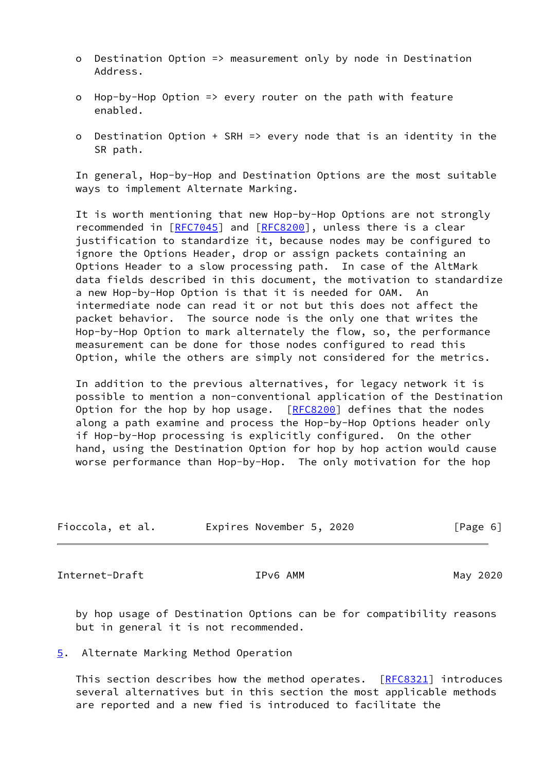- o Destination Option => measurement only by node in Destination Address.
- o Hop-by-Hop Option => every router on the path with feature enabled.
- o Destination Option + SRH => every node that is an identity in the SR path.

 In general, Hop-by-Hop and Destination Options are the most suitable ways to implement Alternate Marking.

 It is worth mentioning that new Hop-by-Hop Options are not strongly recommended in [\[RFC7045](https://datatracker.ietf.org/doc/pdf/rfc7045)] and [\[RFC8200](https://datatracker.ietf.org/doc/pdf/rfc8200)], unless there is a clear justification to standardize it, because nodes may be configured to ignore the Options Header, drop or assign packets containing an Options Header to a slow processing path. In case of the AltMark data fields described in this document, the motivation to standardize a new Hop-by-Hop Option is that it is needed for OAM. An intermediate node can read it or not but this does not affect the packet behavior. The source node is the only one that writes the Hop-by-Hop Option to mark alternately the flow, so, the performance measurement can be done for those nodes configured to read this Option, while the others are simply not considered for the metrics.

 In addition to the previous alternatives, for legacy network it is possible to mention a non-conventional application of the Destination Option for the hop by hop usage.  $[REC8200]$  defines that the nodes along a path examine and process the Hop-by-Hop Options header only if Hop-by-Hop processing is explicitly configured. On the other hand, using the Destination Option for hop by hop action would cause worse performance than Hop-by-Hop. The only motivation for the hop

| Fioccola, et al. |  |  | Expires November 5, 2020 |  |  | [Page 6] |  |
|------------------|--|--|--------------------------|--|--|----------|--|
|------------------|--|--|--------------------------|--|--|----------|--|

<span id="page-6-1"></span>Internet-Draft TPv6 AMM IPv6 AMM May 2020

 by hop usage of Destination Options can be for compatibility reasons but in general it is not recommended.

## <span id="page-6-0"></span>[5](#page-6-0). Alternate Marking Method Operation

 This section describes how the method operates. [\[RFC8321](https://datatracker.ietf.org/doc/pdf/rfc8321)] introduces several alternatives but in this section the most applicable methods are reported and a new fied is introduced to facilitate the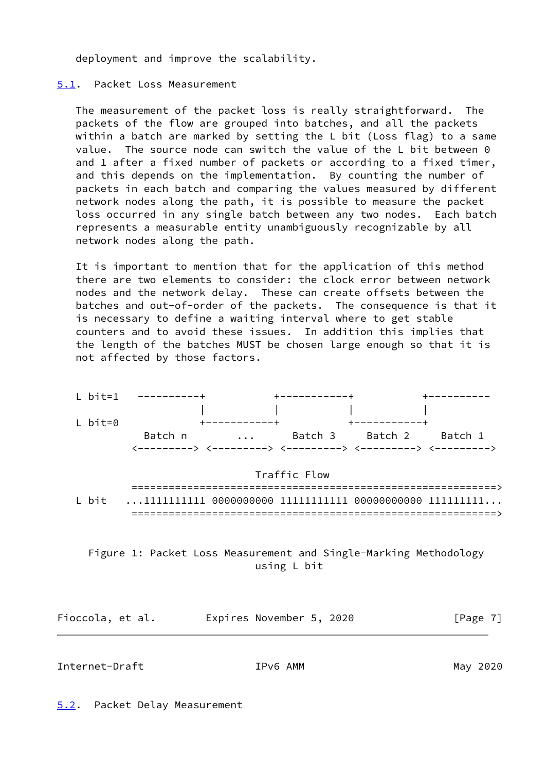deployment and improve the scalability.

## <span id="page-7-0"></span>[5.1](#page-7-0). Packet Loss Measurement

 The measurement of the packet loss is really straightforward. The packets of the flow are grouped into batches, and all the packets within a batch are marked by setting the L bit (Loss flag) to a same value. The source node can switch the value of the L bit between 0 and 1 after a fixed number of packets or according to a fixed timer, and this depends on the implementation. By counting the number of packets in each batch and comparing the values measured by different network nodes along the path, it is possible to measure the packet loss occurred in any single batch between any two nodes. Each batch represents a measurable entity unambiguously recognizable by all network nodes along the path.

 It is important to mention that for the application of this method there are two elements to consider: the clock error between network nodes and the network delay. These can create offsets between the batches and out-of-order of the packets. The consequence is that it is necessary to define a waiting interval where to get stable counters and to avoid these issues. In addition this implies that the length of the batches MUST be chosen large enough so that it is not affected by those factors.



# Figure 1: Packet Loss Measurement and Single-Marking Methodology using L bit

| Fioccola, et al. | Expires November 5, 2020 | [Page 7] |
|------------------|--------------------------|----------|
|                  |                          |          |

<span id="page-7-2"></span><span id="page-7-1"></span>Internet-Draft IPv6 AMM May 2020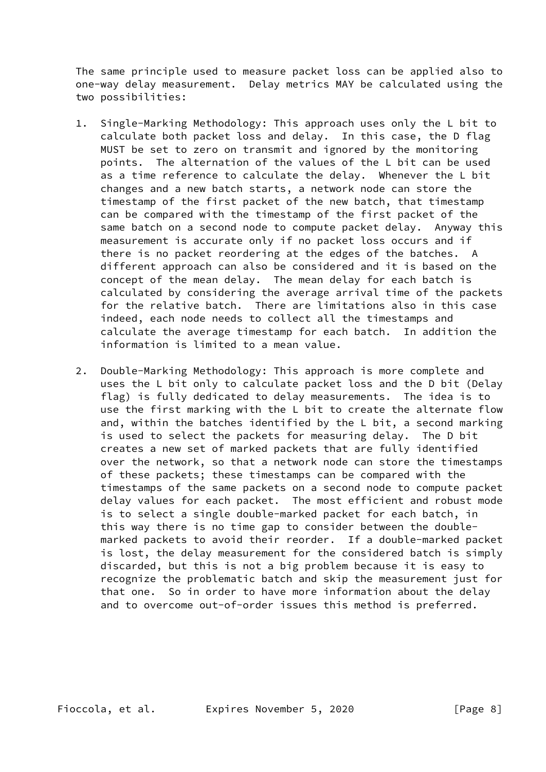The same principle used to measure packet loss can be applied also to one-way delay measurement. Delay metrics MAY be calculated using the two possibilities:

- 1. Single-Marking Methodology: This approach uses only the L bit to calculate both packet loss and delay. In this case, the D flag MUST be set to zero on transmit and ignored by the monitoring points. The alternation of the values of the L bit can be used as a time reference to calculate the delay. Whenever the L bit changes and a new batch starts, a network node can store the timestamp of the first packet of the new batch, that timestamp can be compared with the timestamp of the first packet of the same batch on a second node to compute packet delay. Anyway this measurement is accurate only if no packet loss occurs and if there is no packet reordering at the edges of the batches. A different approach can also be considered and it is based on the concept of the mean delay. The mean delay for each batch is calculated by considering the average arrival time of the packets for the relative batch. There are limitations also in this case indeed, each node needs to collect all the timestamps and calculate the average timestamp for each batch. In addition the information is limited to a mean value.
- 2. Double-Marking Methodology: This approach is more complete and uses the L bit only to calculate packet loss and the D bit (Delay flag) is fully dedicated to delay measurements. The idea is to use the first marking with the L bit to create the alternate flow and, within the batches identified by the L bit, a second marking is used to select the packets for measuring delay. The D bit creates a new set of marked packets that are fully identified over the network, so that a network node can store the timestamps of these packets; these timestamps can be compared with the timestamps of the same packets on a second node to compute packet delay values for each packet. The most efficient and robust mode is to select a single double-marked packet for each batch, in this way there is no time gap to consider between the double marked packets to avoid their reorder. If a double-marked packet is lost, the delay measurement for the considered batch is simply discarded, but this is not a big problem because it is easy to recognize the problematic batch and skip the measurement just for that one. So in order to have more information about the delay and to overcome out-of-order issues this method is preferred.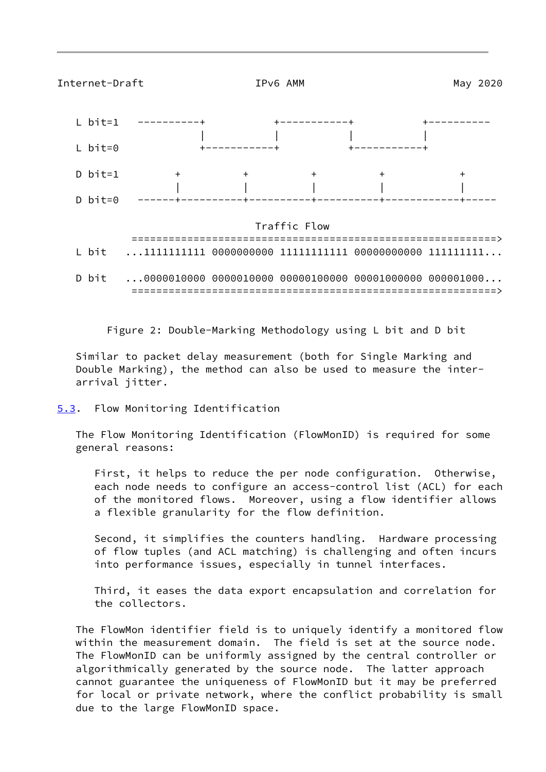<span id="page-9-1"></span>

Figure 2: Double-Marking Methodology using L bit and D bit

 Similar to packet delay measurement (both for Single Marking and Double Marking), the method can also be used to measure the inter arrival jitter.

<span id="page-9-0"></span>[5.3](#page-9-0). Flow Monitoring Identification

 The Flow Monitoring Identification (FlowMonID) is required for some general reasons:

 First, it helps to reduce the per node configuration. Otherwise, each node needs to configure an access-control list (ACL) for each of the monitored flows. Moreover, using a flow identifier allows a flexible granularity for the flow definition.

 Second, it simplifies the counters handling. Hardware processing of flow tuples (and ACL matching) is challenging and often incurs into performance issues, especially in tunnel interfaces.

 Third, it eases the data export encapsulation and correlation for the collectors.

 The FlowMon identifier field is to uniquely identify a monitored flow within the measurement domain. The field is set at the source node. The FlowMonID can be uniformly assigned by the central controller or algorithmically generated by the source node. The latter approach cannot guarantee the uniqueness of FlowMonID but it may be preferred for local or private network, where the conflict probability is small due to the large FlowMonID space.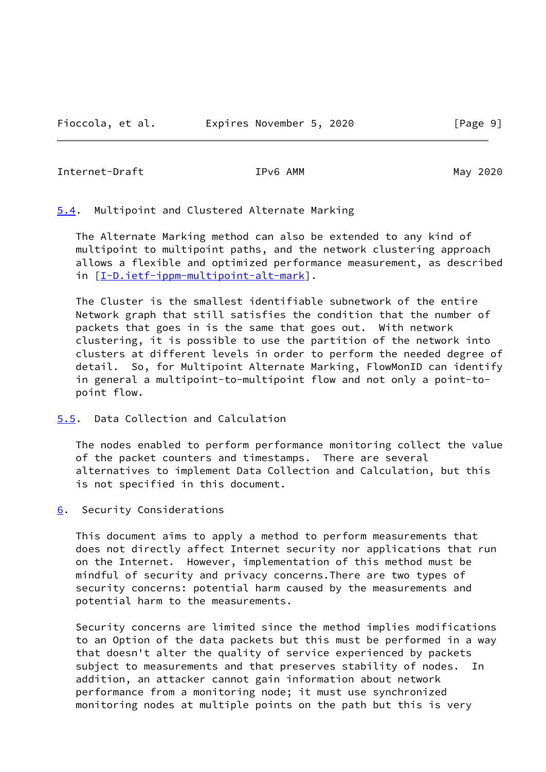<span id="page-10-1"></span>Internet-Draft IPv6 AMM May 2020

<span id="page-10-0"></span>[5.4](#page-10-0). Multipoint and Clustered Alternate Marking

 The Alternate Marking method can also be extended to any kind of multipoint to multipoint paths, and the network clustering approach allows a flexible and optimized performance measurement, as described in [[I-D.ietf-ippm-multipoint-alt-mark\]](#page-12-2).

 The Cluster is the smallest identifiable subnetwork of the entire Network graph that still satisfies the condition that the number of packets that goes in is the same that goes out. With network clustering, it is possible to use the partition of the network into clusters at different levels in order to perform the needed degree of detail. So, for Multipoint Alternate Marking, FlowMonID can identify in general a multipoint-to-multipoint flow and not only a point-to point flow.

<span id="page-10-2"></span>[5.5](#page-10-2). Data Collection and Calculation

 The nodes enabled to perform performance monitoring collect the value of the packet counters and timestamps. There are several alternatives to implement Data Collection and Calculation, but this is not specified in this document.

<span id="page-10-3"></span>[6](#page-10-3). Security Considerations

 This document aims to apply a method to perform measurements that does not directly affect Internet security nor applications that run on the Internet. However, implementation of this method must be mindful of security and privacy concerns.There are two types of security concerns: potential harm caused by the measurements and potential harm to the measurements.

 Security concerns are limited since the method implies modifications to an Option of the data packets but this must be performed in a way that doesn't alter the quality of service experienced by packets subject to measurements and that preserves stability of nodes. In addition, an attacker cannot gain information about network performance from a monitoring node; it must use synchronized monitoring nodes at multiple points on the path but this is very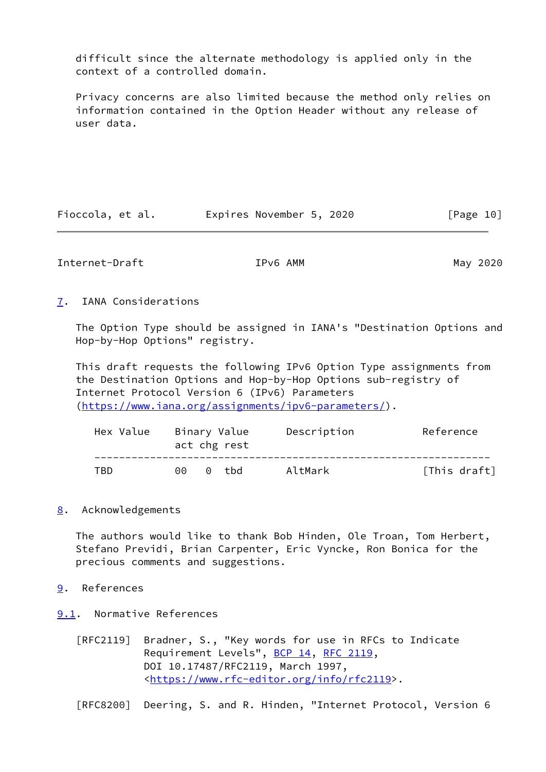difficult since the alternate methodology is applied only in the context of a controlled domain.

 Privacy concerns are also limited because the method only relies on information contained in the Option Header without any release of user data.

| Fioccola, et al. | Expires November 5, 2020 |  | [Page 10] |
|------------------|--------------------------|--|-----------|
|------------------|--------------------------|--|-----------|

<span id="page-11-1"></span>Internet-Draft TPv6 AMM IPv6 AMM May 2020

<span id="page-11-0"></span>[7](#page-11-0). IANA Considerations

 The Option Type should be assigned in IANA's "Destination Options and Hop-by-Hop Options" registry.

 This draft requests the following IPv6 Option Type assignments from the Destination Options and Hop-by-Hop Options sub-registry of Internet Protocol Version 6 (IPv6) Parameters [\(https://www.iana.org/assignments/ipv6-parameters/](https://www.iana.org/assignments/ipv6-parameters/)).

| Hex Value |   | Binary Value<br>act chg rest | Description | Reference    |
|-----------|---|------------------------------|-------------|--------------|
| TBD.      | ൈ | 0 thd                        | AltMark     | [This draft] |

## <span id="page-11-2"></span>[8](#page-11-2). Acknowledgements

 The authors would like to thank Bob Hinden, Ole Troan, Tom Herbert, Stefano Previdi, Brian Carpenter, Eric Vyncke, Ron Bonica for the precious comments and suggestions.

- <span id="page-11-3"></span>[9](#page-11-3). References
- <span id="page-11-4"></span>[9.1](#page-11-4). Normative References
	- [RFC2119] Bradner, S., "Key words for use in RFCs to Indicate Requirement Levels", [BCP 14](https://datatracker.ietf.org/doc/pdf/bcp14), [RFC 2119](https://datatracker.ietf.org/doc/pdf/rfc2119), DOI 10.17487/RFC2119, March 1997, <[https://www.rfc-editor.org/info/rfc2119>](https://www.rfc-editor.org/info/rfc2119).

[RFC8200] Deering, S. and R. Hinden, "Internet Protocol, Version 6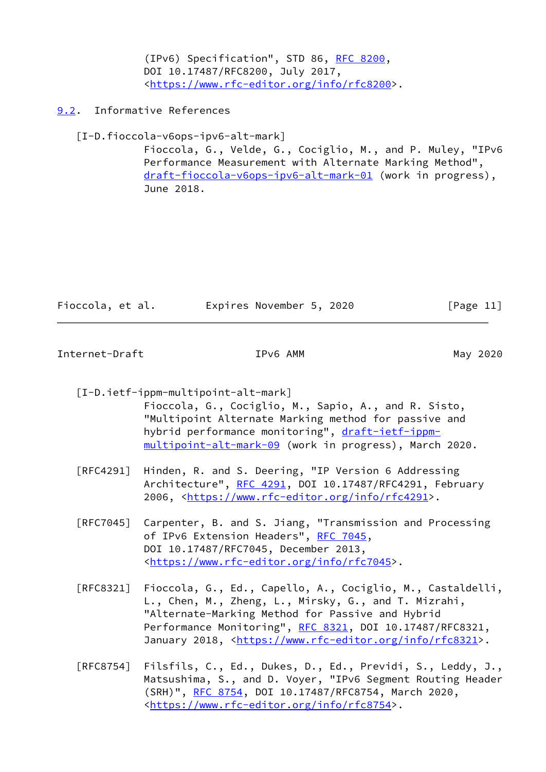(IPv6) Specification", STD 86, [RFC 8200](https://datatracker.ietf.org/doc/pdf/rfc8200), DOI 10.17487/RFC8200, July 2017, <[https://www.rfc-editor.org/info/rfc8200>](https://www.rfc-editor.org/info/rfc8200).

<span id="page-12-0"></span>[9.2](#page-12-0). Informative References

[I-D.fioccola-v6ops-ipv6-alt-mark]

 Fioccola, G., Velde, G., Cociglio, M., and P. Muley, "IPv6 Performance Measurement with Alternate Marking Method", [draft-fioccola-v6ops-ipv6-alt-mark-01](https://datatracker.ietf.org/doc/pdf/draft-fioccola-v6ops-ipv6-alt-mark-01) (work in progress), June 2018.

| Fioccola, et al. | Expires November 5, 2020 |  | [Page 11] |  |
|------------------|--------------------------|--|-----------|--|
|                  |                          |  |           |  |

<span id="page-12-1"></span>Internet-Draft TPv6 AMM IPv6 AMM May 2020

<span id="page-12-2"></span> [I-D.ietf-ippm-multipoint-alt-mark] Fioccola, G., Cociglio, M., Sapio, A., and R. Sisto, "Multipoint Alternate Marking method for passive and hybrid performance monitoring", [draft-ietf-ippm](https://datatracker.ietf.org/doc/pdf/draft-ietf-ippm-multipoint-alt-mark-09) [multipoint-alt-mark-09](https://datatracker.ietf.org/doc/pdf/draft-ietf-ippm-multipoint-alt-mark-09) (work in progress), March 2020.

- [RFC4291] Hinden, R. and S. Deering, "IP Version 6 Addressing Architecture", [RFC 4291](https://datatracker.ietf.org/doc/pdf/rfc4291), DOI 10.17487/RFC4291, February 2006, [<https://www.rfc-editor.org/info/rfc4291](https://www.rfc-editor.org/info/rfc4291)>.
- [RFC7045] Carpenter, B. and S. Jiang, "Transmission and Processing of IPv6 Extension Headers", [RFC 7045,](https://datatracker.ietf.org/doc/pdf/rfc7045) DOI 10.17487/RFC7045, December 2013, <[https://www.rfc-editor.org/info/rfc7045>](https://www.rfc-editor.org/info/rfc7045).
- [RFC8321] Fioccola, G., Ed., Capello, A., Cociglio, M., Castaldelli, L., Chen, M., Zheng, L., Mirsky, G., and T. Mizrahi, "Alternate-Marking Method for Passive and Hybrid Performance Monitoring", [RFC 8321,](https://datatracker.ietf.org/doc/pdf/rfc8321) DOI 10.17487/RFC8321, January 2018, [<https://www.rfc-editor.org/info/rfc8321](https://www.rfc-editor.org/info/rfc8321)>.
- [RFC8754] Filsfils, C., Ed., Dukes, D., Ed., Previdi, S., Leddy, J., Matsushima, S., and D. Voyer, "IPv6 Segment Routing Header (SRH)", [RFC 8754,](https://datatracker.ietf.org/doc/pdf/rfc8754) DOI 10.17487/RFC8754, March 2020, <[https://www.rfc-editor.org/info/rfc8754>](https://www.rfc-editor.org/info/rfc8754).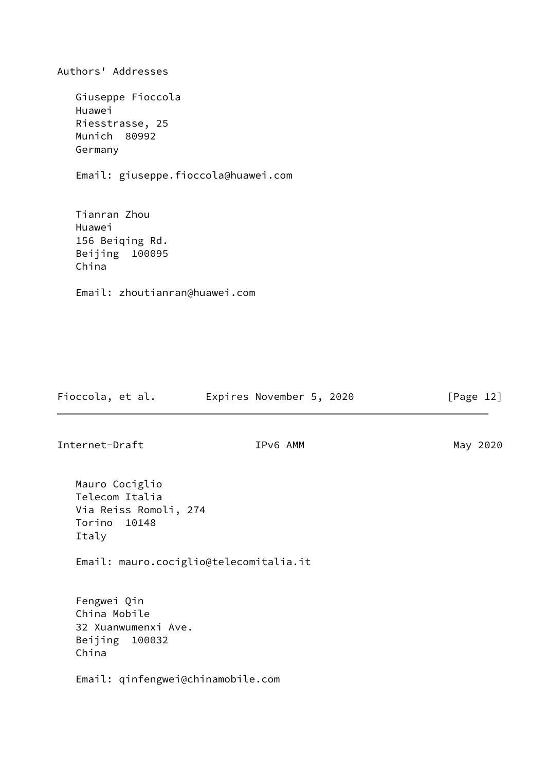| Authors' Addresses                     |                          |           |
|----------------------------------------|--------------------------|-----------|
| Giuseppe Fioccola                      |                          |           |
| Huawei                                 |                          |           |
| Riesstrasse, 25<br>Munich 80992        |                          |           |
| Germany                                |                          |           |
| Email: giuseppe.fioccola@huawei.com    |                          |           |
| Tianran Zhou                           |                          |           |
| Huawei                                 |                          |           |
| 156 Beiqing Rd.                        |                          |           |
| Beijing 100095<br>China                |                          |           |
| Email: zhoutianran@huawei.com          |                          |           |
|                                        |                          |           |
|                                        |                          |           |
|                                        |                          |           |
|                                        |                          |           |
|                                        |                          |           |
| Fioccola, et al.                       | Expires November 5, 2020 | [Page 12] |
| Internet-Draft                         | IPv6 AMM                 | May 2020  |
|                                        |                          |           |
| Mauro Cociglio                         |                          |           |
| Telecom Italia                         |                          |           |
| Via Reiss Romoli, 274<br>Torino 10148  |                          |           |
| Italy                                  |                          |           |
| Email: mauro.cociglio@telecomitalia.it |                          |           |
|                                        |                          |           |
| Fengwei Qin<br>China Mobile            |                          |           |
| 32 Xuanwumenxi Ave.                    |                          |           |
| Beijing 100032<br>China                |                          |           |
| Email: qinfengwei@chinamobile.com      |                          |           |